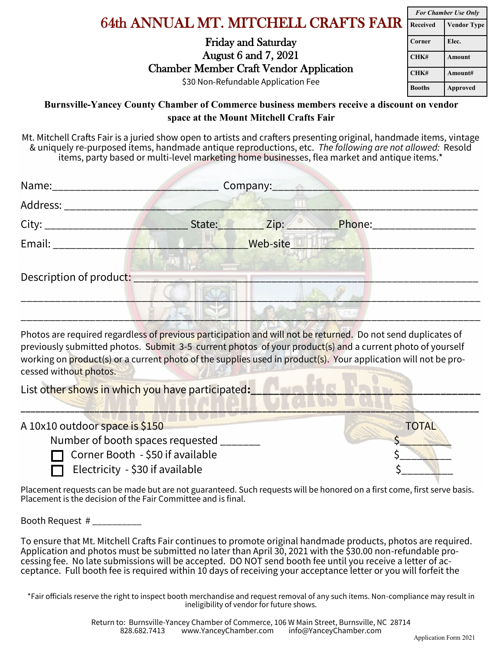## **space at the Mount Mitchell Crafts Fair**

Mt. Mitchell Crafts Fair is a juried show open to artists and crafters presenting original, handmade items, vintage & uniquely re-purposed items, handmade antique reproductions, etc. *The following are not allowed:* Resold items, party based or multi-level marketing home businesses, flea market and antique items.\*

| Name:______________ | Company: |               |                           |  |
|---------------------|----------|---------------|---------------------------|--|
| Address:            |          |               |                           |  |
|                     | State:   | $\angle$ Zip: | Phone:___________________ |  |
| Email: Email:       |          | Web-site      |                           |  |
|                     |          |               |                           |  |
|                     |          |               |                           |  |

Photos are required regardless of previous participation and will not be returned. Do not send duplicates of previously submitted photos. Submit 3-5 current photos of your product(s) and a current photo of yourself working on product(s) or a current photo of the supplies used in product(s). Your application will not be processed without photos.

List other shows in which you have participated:

| A 10x10 outdoor space is \$150         | TOTAL                                    |
|----------------------------------------|------------------------------------------|
| Number of booth spaces requested       |                                          |
| Corner Booth - \$50 if available       |                                          |
| $\Box$ Electricity - \$30 if available |                                          |
| - 1                                    | $\mathbf{r}$ . The state of $\mathbf{r}$ |

Placement requests can be made but are not guaranteed. Such requests will be honored on a first come, first serve basis. Placement is the decision of the Fair Committee and is final.

Booth Request # \_\_\_\_\_\_\_\_\_\_

To ensure that Mt. Mitchell Crafts Fair continues to promote original handmade products, photos are required. Application and photos must be submitted no later than April 30, 2021 with the \$30.00 non-refundable processing fee. No late submissions will be accepted. DO NOT send booth fee until you receive a letter of acceptance. Full booth fee is required within 10 days of receiving your acceptance letter or you will forfeit the

\*Fair officials reserve the right to inspect booth merchandise and request removal of any such items. Non-compliance may result in ineligibility of vendor for future shows.

| <b>For Chamber Use Only</b> |                    |  |
|-----------------------------|--------------------|--|
| Received                    | <b>Vendor Type</b> |  |
| Corner                      | Elec.              |  |
| CHK#                        | <b>Amount</b>      |  |
| CHK#                        | Amount#            |  |
| <b>Booths</b>               | <b>Approved</b>    |  |

## 64th ANNUAL MT. MITCHELL CRAFTS FAIR Friday and Saturday

Chamber Member Craft Vendor Application \$30 Non-Refundable Application Fee

**Burnsville-Yancey County Chamber of Commerce business members receive a discount on vendor** 

August 6 and 7, 2021